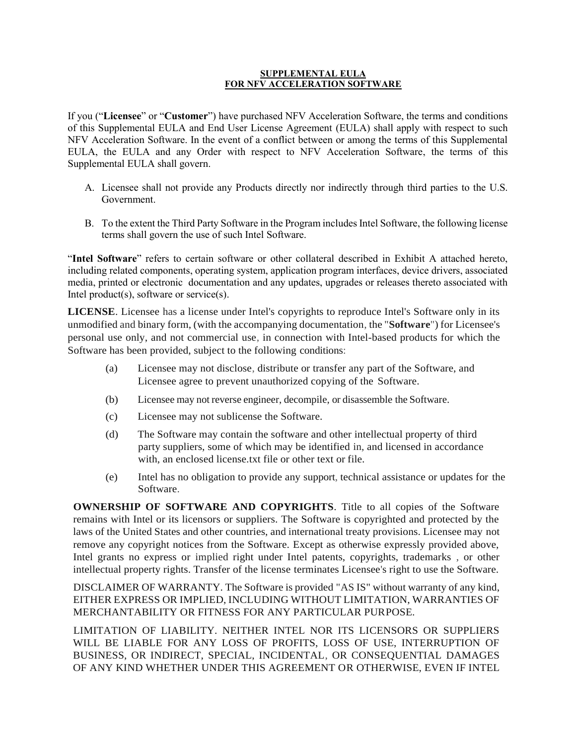## **SUPPLEMENTAL EULA FOR NFV ACCELERATION SOFTWARE**

If you ("**Licensee**" or "**Customer**") have purchased NFV Acceleration Software, the terms and conditions of this Supplemental EULA and End User License Agreement (EULA) shall apply with respect to such NFV Acceleration Software. In the event of a conflict between or among the terms of this Supplemental EULA, the EULA and any Order with respect to NFV Acceleration Software, the terms of this Supplemental EULA shall govern.

- A. Licensee shall not provide any Products directly nor indirectly through third parties to the U.S. Government.
- B. To the extent the Third Party Software in the Program includes Intel Software, the following license terms shall govern the use of such Intel Software.

"**Intel Software**" refers to certain software or other collateral described in Exhibit A attached hereto, including related components, operating system, application program interfaces, device drivers, associated media, printed or electronic documentation and any updates, upgrades or releases thereto associated with Intel product(s), software or service(s).

**LICENSE**. Licensee has a license under Intel's copyrights to reproduce Intel's Software only in its unmodified and binary form, (with the accompanying documentation, the "**Software**") for Licensee's personal use only, and not commercial use, in connection with Intel-based products for which the Software has been provided, subject to the following conditions:

- (a) Licensee may not disclose, distribute or transfer any part of the Software, and Licensee agree to prevent unauthorized copying of the Software.
- (b) Licensee may not reverse engineer, decompile, or disassemble the Software.
- (c) Licensee may not sublicense the Software.
- (d) The Software may contain the software and other intellectual property of third party suppliers, some of which may be identified in, and licensed in accordance with, an enclosed license.txt file or other text or file.
- (e) Intel has no obligation to provide any support, technical assistance or updates for the Software.

**OWNERSHIP OF SOFTWARE AND COPYRIGHTS**. Title to all copies of the Software remains with Intel or its licensors or suppliers. The Software is copyrighted and protected by the laws of the United States and other countries, and international treaty provisions. Licensee may not remove any copyright notices from the Software. Except as otherwise expressly provided above, Intel grants no express or implied right under Intel patents, copyrights, trademarks , or other intellectual property rights. Transfer of the license terminates Licensee's right to use the Software.

DISCLAIMER OF WARRANTY. The Software is provided "AS IS" without warranty of any kind, EITHER EXPRESS OR IMPLIED, INCLUDING WITHOUT LIMITATION, WARRANTIES OF MERCHANTABILITY OR FITNESS FOR ANY PARTICULAR PURPOSE.

LIMITATION OF LIABILITY. NEITHER INTEL NOR ITS LICENSORS OR SUPPLIERS WILL BE LIABLE FOR ANY LOSS OF PROFITS, LOSS OF USE, INTERRUPTION OF BUSINESS, OR INDIRECT, SPECIAL, INCIDENTAL, OR CONSEQUENTIAL DAMAGES OF ANY KIND WHETHER UNDER THIS AGREEMENT OR OTHERWISE, EVEN IF INTEL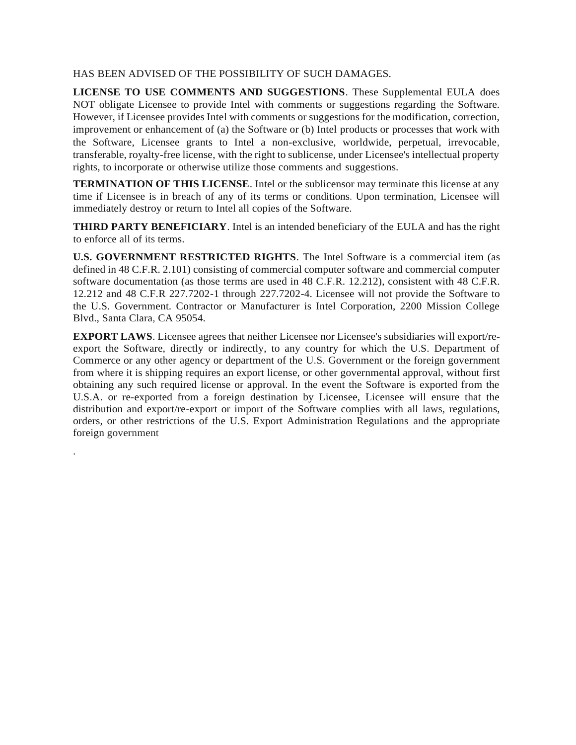## HAS BEEN ADVISED OF THE POSSIBILITY OF SUCH DAMAGES.

**LICENSE TO USE COMMENTS AND SUGGESTIONS**. These Supplemental EULA does NOT obligate Licensee to provide Intel with comments or suggestions regarding the Software. However, if Licensee provides Intel with comments or suggestions for the modification, correction, improvement or enhancement of (a) the Software or (b) Intel products or processes that work with the Software, Licensee grants to Intel a non-exclusive, worldwide, perpetual, irrevocable, transferable, royalty-free license, with the right to sublicense, under Licensee's intellectual property rights, to incorporate or otherwise utilize those comments and suggestions.

**TERMINATION OF THIS LICENSE**. Intel or the sublicensor may terminate this license at any time if Licensee is in breach of any of its terms or conditions. Upon termination, Licensee will immediately destroy or return to Intel all copies of the Software.

**THIRD PARTY BENEFICIARY**. Intel is an intended beneficiary of the EULA and has the right to enforce all of its terms.

**U.S. GOVERNMENT RESTRICTED RIGHTS**. The Intel Software is a commercial item (as defined in 48 C.F.R. 2.101) consisting of commercial computer software and commercial computer software documentation (as those terms are used in 48 C.F.R. 12.212), consistent with 48 C.F.R. 12.212 and 48 C.F.R 227.7202-1 through 227.7202-4. Licensee will not provide the Software to the U.S. Government. Contractor or Manufacturer is Intel Corporation, 2200 Mission College Blvd., Santa Clara, CA 95054.

**EXPORT LAWS**. Licensee agrees that neither Licensee nor Licensee's subsidiaries will export/reexport the Software, directly or indirectly, to any country for which the U.S. Department of Commerce or any other agency or department of the U.S. Government or the foreign government from where it is shipping requires an export license, or other governmental approval, without first obtaining any such required license or approval. In the event the Software is exported from the U.S.A. or re-exported from a foreign destination by Licensee, Licensee will ensure that the distribution and export/re-export or import of the Software complies with all laws, regulations, orders, or other restrictions of the U.S. Export Administration Regulations and the appropriate foreign government

.